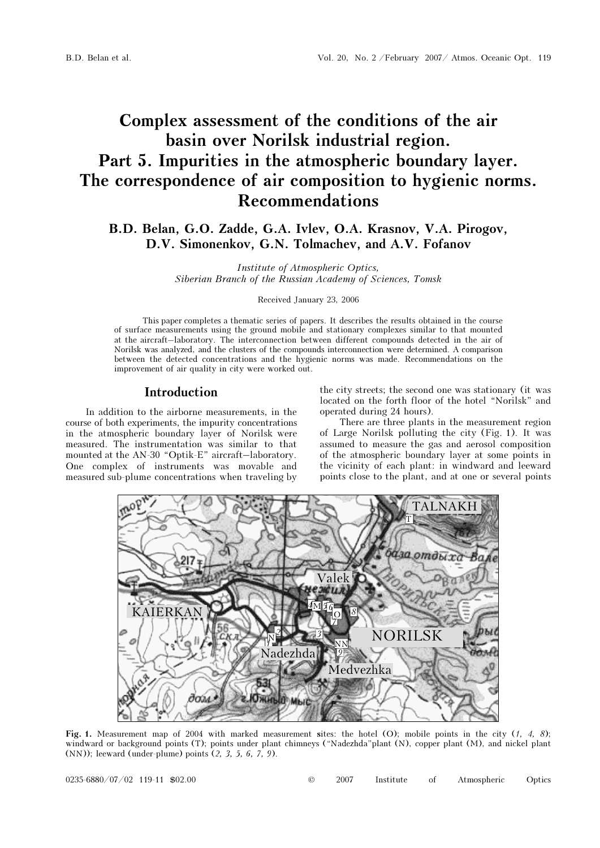# Complex assessment of the conditions of the air basin over Norilsk industrial region. Part 5. Impurities in the atmospheric boundary layer. The correspondence of air composition to hygienic norms. Recommendations

B.D. Belan, G.O. Zadde, G.A. Ivlev, O.A. Krasnov, V.A. Pirogov, D.V. Simonenkov, G.N. Tolmachev, and A.V. Fofanov

> Institute of Atmospheric Optics, Siberian Branch of the Russian Academy of Sciences, Tomsk

> > Received January 23, 2006

This paper completes a thematic series of papers. It describes the results obtained in the course of surface measurements using the ground mobile and stationary complexes similar to that mounted at the aircraft–laboratory. The interconnection between different compounds detected in the air of Norilsk was analyzed, and the clusters of the compounds interconnection were determined. A comparison between the detected concentrations and the hygienic norms was made. Recommendations on the improvement of air quality in city were worked out.

### Introduction

In addition to the airborne measurements, in the course of both experiments, the impurity concentrations in the atmospheric boundary layer of Norilsk were measured. The instrumentation was similar to that mounted at the AN-30 "Optik-E" aircraft–laboratory. One complex of instruments was movable and measured sub-plume concentrations when traveling by

the city streets; the second one was stationary (it was located on the forth floor of the hotel "Norilsk" and operated during 24 hours).

There are three plants in the measurement region of Large Norilsk polluting the city (Fig. 1). It was assumed to measure the gas and aerosol composition of the atmospheric boundary layer at some points in the vicinity of each plant: in windward and leeward points close to the plant, and at one or several points



Fig. 1. Measurement map of 2004 with marked measurement sites: the hotel (O); mobile points in the city  $(1, 4, 8)$ ; windward or background points (T); points under plant chimneys ("Nadezhda"plant (N), copper plant (M), and nickel plant (NN)); leeward (under-plume) points (2, 3, 5, 6, 7, 9).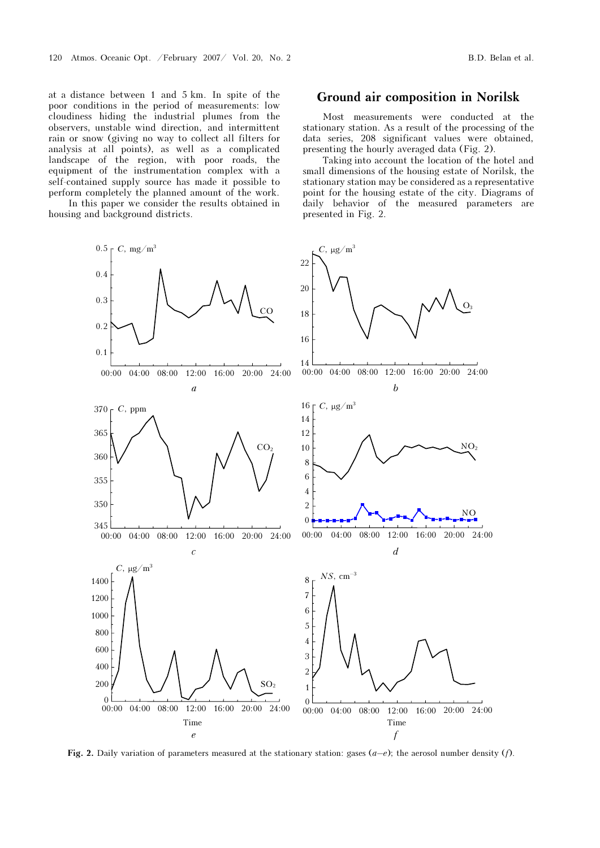at a distance between 1 and 5 km. In spite of the poor conditions in the period of measurements: low cloudiness hiding the industrial plumes from the observers, unstable wind direction, and intermittent rain or snow (giving no way to collect all filters for analysis at all points), as well as a complicated landscape of the region, with poor roads, the equipment of the instrumentation complex with a self-contained supply source has made it possible to perform completely the planned amount of the work.

 In this paper we consider the results obtained in housing and background districts.

### Ground air composition in Norilsk

Most measurements were conducted at the stationary station. As a result of the processing of the data series, 208 significant values were obtained, presenting the hourly averaged data (Fig. 2).

Taking into account the location of the hotel and small dimensions of the housing estate of Norilsk, the stationary station may be considered as a representative point for the housing estate of the city. Diagrams of daily behavior of the measured parameters are presented in Fig. 2.



Fig. 2. Daily variation of parameters measured at the stationary station: gases  $(a-e)$ ; the aerosol number density  $(f)$ .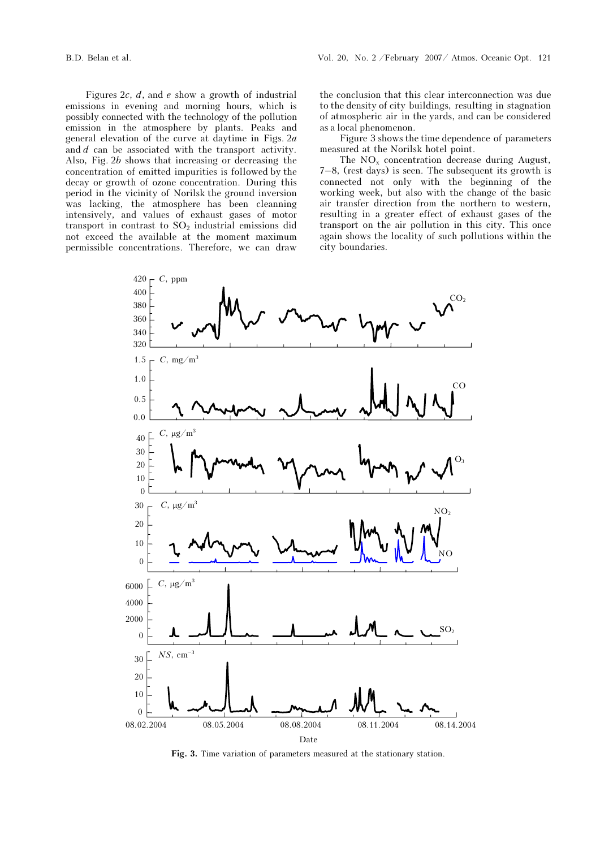Figures  $2c$ ,  $d$ , and  $e$  show a growth of industrial emissions in evening and morning hours, which is possibly connected with the technology of the pollution emission in the atmosphere by plants. Peaks and general elevation of the curve at daytime in Figs. 2a and d can be associated with the transport activity. Also, Fig. 2b shows that increasing or decreasing the concentration of emitted impurities is followed by the decay or growth of ozone concentration. During this period in the vicinity of Norilsk the ground inversion was lacking, the atmosphere has been cleanning intensively, and values of exhaust gases of motor transport in contrast to  $SO<sub>2</sub>$  industrial emissions did not exceed the available at the moment maximum permissible concentrations. Therefore, we can draw

the conclusion that this clear interconnection was due to the density of city buildings, resulting in stagnation of atmospheric air in the yards, and can be considered as a local phenomenon.

Figure 3 shows the time dependence of parameters measured at the Norilsk hotel point.

The  $NO<sub>x</sub>$  concentration decrease during August, 7–8, (rest-days) is seen. The subsequent its growth is connected not only with the beginning of the working week, but also with the change of the basic air transfer direction from the northern to western, resulting in a greater effect of exhaust gases of the transport on the air pollution in this city. This once again shows the locality of such pollutions within the city boundaries.



Fig. 3. Time variation of parameters measured at the stationary station.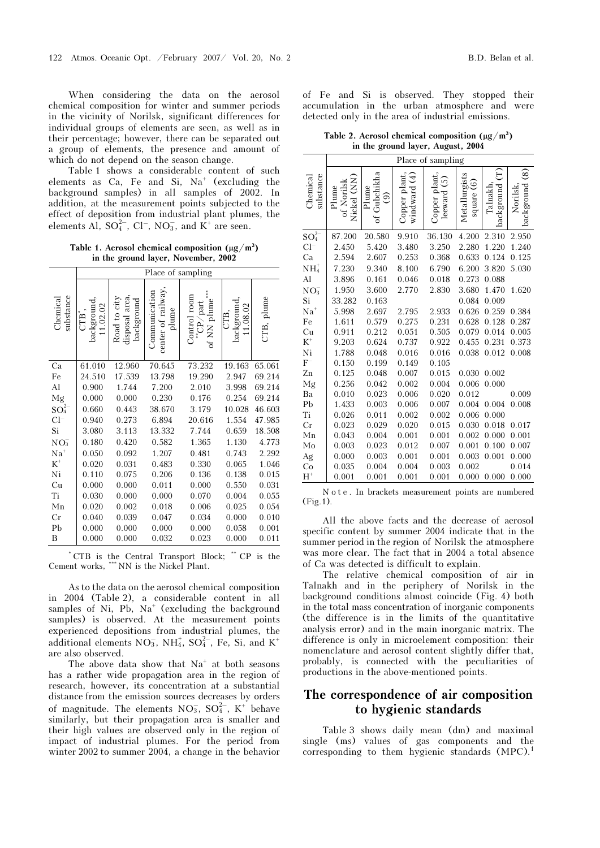When considering the data on the aerosol chemical composition for winter and summer periods in the vicinity of Norilsk, significant differences for individual groups of elements are seen, as well as in their percentage; however, there can be separated out a group of elements, the presence and amount of which do not depend on the season change.

Table 1 shows a considerable content of such elements as  $Ca$ , Fe and Si,  $Na<sup>+</sup>$  (excluding the background samples) in all samples of 2002. In addition, at the measurement points subjected to the effect of deposition from industrial plant plumes, the elements Al,  $SO_4^{2-}$ ,  $Cl^-$ ,  $NO_3^-$ , and  $K^+$  are seen.

Table 1. Aerosol chemical composition  $(\mu g/m^3)$ in the ground layer, November, 2002

|                       | Place of sampling              |                                                       |                                             |                                                                   |                               |            |  |  |  |  |  |
|-----------------------|--------------------------------|-------------------------------------------------------|---------------------------------------------|-------------------------------------------------------------------|-------------------------------|------------|--|--|--|--|--|
| substance<br>Chemical | background<br>11.02.02<br>CTB' | disposal area<br>Road to city<br>$\mathrm{backgroup}$ | center of railway<br>Communication<br>plume | Control room<br>of NN plume<br>$^\prime\!$ part<br>$\overline{E}$ | background<br>11.08.02<br>CTB | CTB, plume |  |  |  |  |  |
| Ca                    | 61.010                         | 12.960                                                | 70.645                                      | 73.232                                                            | 19.163                        | 65.061     |  |  |  |  |  |
| Fe                    | 24.510                         | 17.539                                                | 13.798                                      | 19.290                                                            | 2.947                         | 69.214     |  |  |  |  |  |
| Al                    | 0.900                          | 1.744                                                 | 7.200                                       | 2.010                                                             | 3.998                         | 69.214     |  |  |  |  |  |
| Mg                    | 0.000                          | 0.000                                                 | 0.230                                       | 0.176                                                             | 0.254                         | 69.214     |  |  |  |  |  |
| $\mathrm{SO}_4^{2-}$  | 0.660                          | 0.443                                                 | 38.670                                      | 3.179                                                             | 10.028                        | 46.603     |  |  |  |  |  |
| $Cl^-$                | 0.940                          | 0.273                                                 | 6.894                                       | 20.616                                                            | 1.554                         | 47.985     |  |  |  |  |  |
| Si                    | 3.080                          | 3.113                                                 | 13.332                                      | 7.744                                                             | 0.659                         | 18.508     |  |  |  |  |  |
| $NO_3^-$              | 0.180                          | 0.420                                                 | 0.582                                       | 1.365                                                             | 1.130                         | 4.773      |  |  |  |  |  |
| $Na+$                 | 0.050                          | 0.092                                                 | 1.207                                       | 0.481                                                             | 0.743                         | 2.292      |  |  |  |  |  |
| $K^+$                 | 0.020                          | 0.031                                                 | 0.483                                       | 0.330                                                             | 0.065                         | 1.046      |  |  |  |  |  |
| Ni                    | 0.110                          | 0.075                                                 | 0.206                                       | 0.136                                                             | 0.138                         | 0.015      |  |  |  |  |  |
| Cu                    | 0.000                          | 0.000                                                 | 0.011                                       | 0.000                                                             | 0.550                         | 0.031      |  |  |  |  |  |
| Ti                    | 0.030                          | 0.000                                                 | 0.000                                       | 0.070                                                             | 0.004                         | 0.055      |  |  |  |  |  |
| Mn                    | 0.020                          | 0.002                                                 | 0.018                                       | 0.006                                                             | 0.025                         | 0.054      |  |  |  |  |  |
| Cr                    | 0.040                          | 0.039                                                 | 0.047                                       | 0.034                                                             | 0.000                         | 0.010      |  |  |  |  |  |
| Pb                    | 0.000                          | 0.000                                                 | 0.000                                       | 0.000                                                             | 0.058                         | 0.001      |  |  |  |  |  |
| B                     | 0.000                          | 0.000                                                 | 0.032                                       | 0.023                                                             | 0.000                         | 0.011      |  |  |  |  |  |

\* CTB is the Central Transport Block; \*\* CP is the Cement works, \*\*\* NN is the Nickel Plant.

As to the data on the aerosol chemical composition in 2004 (Table 2), a considerable content in all samples of Ni, Pb,  $Na<sup>+</sup>$  (excluding the background samples) is observed. At the measurement points experienced depositions from industrial plumes, the additional elements  $NO_3^-$ ,  $NH_4^+$ ,  $SO_4^{2-}$ , Fe, Si, and K<sup>+</sup> are also observed.

The above data show that  $Na<sup>+</sup>$  at both seasons has a rather wide propagation area in the region of research, however, its concentration at a substantial distance from the emission sources decreases by orders of magnitude. The elements  $NO_3^-$ ,  $SO_4^{2-}$ ,  $K^+$  behave similarly, but their propagation area is smaller and their high values are observed only in the region of impact of industrial plumes. For the period from winter 2002 to summer 2004, a change in the behavior

of Fe and Si is observed. They stopped their accumulation in the urban atmosphere and were detected only in the area of industrial emissions.

Table 2. Aerosol chemical composition  $(\mu g/m^3)$ in the ground layer, August, 2004

|                       |                                      | Place of sampling            |                                           |                                                |                               |                            |                                                  |  |  |  |  |  |  |
|-----------------------|--------------------------------------|------------------------------|-------------------------------------------|------------------------------------------------|-------------------------------|----------------------------|--------------------------------------------------|--|--|--|--|--|--|
| substance<br>Chemical | NN.<br>of Norilsk<br>Plume<br>Nickel | Gubchikha<br>Plume<br>ම<br>đ | $\widehat{A}$<br>Copper plant<br>windward | Copper plant<br>$\widetilde{\circ}$<br>leeward | Metallurgists<br>ତି<br>square | Έ<br>background<br>Talnakh | $\overset{\sim}{\circ}$<br>background<br>Norilsk |  |  |  |  |  |  |
| $SO_4^2$              | 87.200                               | 20.580                       | 9.910                                     | 36.130                                         | 4.200                         | 2.310                      | 2.950                                            |  |  |  |  |  |  |
| $Cl^-$                | 2.450                                | 5.420                        | 3.480                                     | 3.250                                          | 2.280                         | 1.220                      | 1.240                                            |  |  |  |  |  |  |
| Ca                    | 2.594                                | 2.607                        | 0.253                                     | 0.368                                          | 0.633                         | 0.124                      | 0.125                                            |  |  |  |  |  |  |
| $NH_4^+$              | 7.230                                | 9.340                        | 8.100                                     | 6.790                                          | 6.200                         | 3.820                      | 5.030                                            |  |  |  |  |  |  |
| Al                    | 3.896                                | 0.161                        | 0.046                                     | 0.018                                          | 0.273                         | 0.088                      |                                                  |  |  |  |  |  |  |
| NO <sub>3</sub>       | 1.950                                | 3.600                        | 2.770                                     | 2.830                                          | 3.680                         | 1.470                      | 1.620                                            |  |  |  |  |  |  |
| Si                    | 33.282                               | 0.163                        |                                           |                                                | 0.084                         | 0.009                      |                                                  |  |  |  |  |  |  |
| $Na+$                 | 5.998                                | 2.697                        | 2.795                                     | 2.933                                          | 0.626                         | 0.259                      | 0.384                                            |  |  |  |  |  |  |
| Fe                    | 1.611                                | 0.579                        | 0.275                                     | 0.231                                          | 0.628                         | 0.128                      | 0.287                                            |  |  |  |  |  |  |
| Cu                    | 0.911                                | 0.212                        | 0.051                                     | 0.505                                          | 0.079                         | 0.014                      | 0.005                                            |  |  |  |  |  |  |
| $\rm K^+$             | 9.203                                | 0.624                        | 0.737                                     | 0.922                                          | 0.455                         | 0.231                      | 0.373                                            |  |  |  |  |  |  |
| Ni                    | 1.788                                | 0.048                        | 0.016                                     | 0.016                                          | 0.038                         | 0.012                      | 0.008                                            |  |  |  |  |  |  |
| $F^-$                 | 0.150                                | 0.199                        | 0.149                                     | 0.105                                          |                               |                            |                                                  |  |  |  |  |  |  |
| Zn                    | 0.125                                | 0.048                        | 0.007                                     | 0.015                                          | 0.030                         | 0.002                      |                                                  |  |  |  |  |  |  |
| Mg                    | 0.256                                | 0.042                        | 0.002                                     | 0.004                                          | 0.006                         | 0.000                      |                                                  |  |  |  |  |  |  |
| Ba                    | 0.010                                | 0.023                        | 0.006                                     | 0.020                                          | 0.012                         |                            | 0.009                                            |  |  |  |  |  |  |
| Pb                    | 1.433                                | 0.003                        | 0.006                                     | 0.007                                          | 0.004                         | 0.004                      | 0.008                                            |  |  |  |  |  |  |
| Ti                    | 0.026                                | 0.011                        | 0.002                                     | 0.002                                          | 0.006                         | 0.000                      |                                                  |  |  |  |  |  |  |
| $_{\rm Cr}$           | 0.023                                | 0.029                        | 0.020                                     | 0.015                                          | 0.030                         | 0.018                      | 0.017                                            |  |  |  |  |  |  |
| Mn                    | 0.043                                | 0.004                        | 0.001                                     | 0.001                                          | 0.002                         | 0.000                      | 0.001                                            |  |  |  |  |  |  |
| Mo                    | 0.003                                | 0.023                        | 0.012                                     | 0.007                                          | 0.001                         | 0.100                      | 0.007                                            |  |  |  |  |  |  |
| Ag                    | 0.000                                | 0.003                        | 0.001                                     | 0.001                                          | 0.003                         | 0.001                      | 0.000                                            |  |  |  |  |  |  |
| Co                    | 0.035                                | 0.004                        | 0.004                                     | 0.003                                          | 0.002                         |                            | 0.014                                            |  |  |  |  |  |  |
| $H^+$                 | 0.001                                | 0.001                        | 0.001                                     | 0.001                                          | 0.000                         | 0.000                      | 0.000                                            |  |  |  |  |  |  |

N o t e . In brackets measurement points are numbered (Fig.1).

All the above facts and the decrease of aerosol specific content by summer 2004 indicate that in the summer period in the region of Norilsk the atmosphere was more clear. The fact that in 2004 a total absence of Ca was detected is difficult to explain.

The relative chemical composition of air in Talnakh and in the periphery of Norilsk in the background conditions almost coincide (Fig. 4) both in the total mass concentration of inorganic components (the difference is in the limits of the quantitative analysis error) and in the main inorganic matrix. The difference is only in microelement composition: their nomenclature and aerosol content slightly differ that, probably, is connected with the peculiarities of productions in the above-mentioned points.

# The correspondence of air composition to hygienic standards

Table 3 shows daily mean (dm) and maximal single (ms) values of gas components and the corresponding to them hygienic standards (MPC).<sup>1</sup>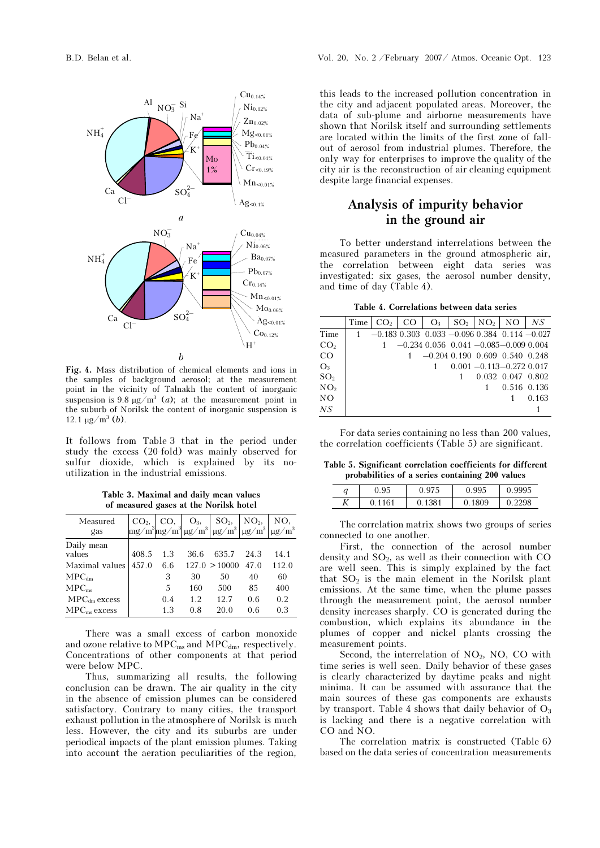

Fig. 4. Mass distribution of chemical elements and ions in the samples of background aerosol; at the measurement point in the vicinity of Talnakh the content of inorganic suspension is 9.8  $\mu$ g/m<sup>3</sup> (*a*); at the measurement point in the suburb of Norilsk the content of inorganic suspension is 12.1  $\mu$ g/m<sup>3</sup> (*b*).

It follows from Table 3 that in the period under study the excess (20-fold) was mainly observed for sulfur dioxide, which is explained by its noutilization in the industrial emissions.

Table 3. Maximal and daily mean values of measured gases at the Norilsk hotel

| Measured<br>gas                 |       |     |      | $\begin{bmatrix} \textrm{CO}_2, & \textrm{CO}, & \textrm{O}_3, & \textrm{SO}_2, & \textrm{NO}_2, \\ \textrm{mg/m}^3 \textrm{mg/m}^3 \textrm{mg/m}^3 \textrm{mg/m}^3 \textrm{mg/m}^3 \textrm{mg/m}^3 \textrm{mg/m}^3 \end{bmatrix}$ |      |       |
|---------------------------------|-------|-----|------|------------------------------------------------------------------------------------------------------------------------------------------------------------------------------------------------------------------------------------|------|-------|
| Daily mean                      |       |     |      |                                                                                                                                                                                                                                    |      |       |
| values                          | 408.5 | 1.3 | 36.6 | 635.7                                                                                                                                                                                                                              | 24.3 | 14.1  |
| Maximal values                  | 457.0 | 6.6 |      | 127.0 > 10000                                                                                                                                                                                                                      | 47.0 | 112.0 |
| $\text{MPC}_{\text{dm}}$        |       | 3   | 30   | 50                                                                                                                                                                                                                                 | 40   | 60    |
| MPC <sub>ms</sub>               |       | 5   | 160  | 500                                                                                                                                                                                                                                | 85   | 400   |
| $\text{MPC}_{\text{dm}}$ excess |       | 0.4 | 1.2  | 12.7                                                                                                                                                                                                                               | 0.6  | 0.2   |
| $MPCms$ excess                  |       | 1.3 | 0.8  | 20 O                                                                                                                                                                                                                               | 0.6  | 0.3   |

There was a small excess of carbon monoxide and ozone relative to  $\text{MPC}_{\text{ms}}$  and  $\text{MPC}_{\text{dm}}$ , respectively. Concentrations of other components at that period were below MPC.

Thus, summarizing all results, the following conclusion can be drawn. The air quality in the city in the absence of emission plumes can be considered satisfactory. Contrary to many cities, the transport exhaust pollution in the atmosphere of Norilsk is much less. However, the city and its suburbs are under periodical impacts of the plant emission plumes. Taking into account the aeration peculiarities of the region,

this leads to the increased pollution concentration in the city and adjacent populated areas. Moreover, the data of sub-plume and airborne measurements have shown that Norilsk itself and surrounding settlements are located within the limits of the first zone of fallout of aerosol from industrial plumes. Therefore, the only way for enterprises to improve the quality of the city air is the reconstruction of air cleaning equipment despite large financial expenses.

# Analysis of impurity behavior in the ground air

To better understand interrelations between the measured parameters in the ground atmospheric air, the correlation between eight data series was investigated: six gases, the aerosol number density, and time of day (Table 4).

Table 4. Correlations between data series

|                 | Time | CO <sub>2</sub> | l CO |  | $Q_3$   SO <sub>2</sub>   NO <sub>2</sub>   NO     |                         | N.S   |
|-----------------|------|-----------------|------|--|----------------------------------------------------|-------------------------|-------|
| Time            |      |                 |      |  | $-0.183$ 0.303 0.033 $-0.096$ 0.384 0.114 $-0.027$ |                         |       |
| CO <sub>2</sub> |      |                 |      |  | $-0.234$ 0.056 0.041 $-0.085 - 0.009$ 0.004        |                         |       |
| CO              |      |                 |      |  | $-0.204$ 0.190 0.609 0.540 0.248                   |                         |       |
| $O_3$           |      |                 |      |  | $0.001 - 0.113 - 0.272$ 0.017                      |                         |       |
| SO <sub>2</sub> |      |                 |      |  |                                                    | $0.032$ $0.047$ $0.802$ |       |
| NO <sub>2</sub> |      |                 |      |  |                                                    | 0.516 0.136             |       |
| NO.             |      |                 |      |  |                                                    |                         | 0.163 |
| NS              |      |                 |      |  |                                                    |                         |       |

For data series containing no less than 200 values, the correlation coefficients (Table 5) are significant.

Table 5. Significant correlation coefficients for different probabilities of a series containing 200 values

| ч | $\alpha$<br>.JJ | $\cap$<br>υ.<br>$\cdot$ | 0.995 | 0.9995 |
|---|-----------------|-------------------------|-------|--------|
| K | 61              | 81                      | 309   | ۵۵     |

The correlation matrix shows two groups of series connected to one another.

First, the connection of the aerosol number density and  $SO<sub>2</sub>$ , as well as their connection with CO are well seen. This is simply explained by the fact that  $SO<sub>2</sub>$  is the main element in the Norilsk plant emissions. At the same time, when the plume passes through the measurement point, the aerosol number density increases sharply. CO is generated during the combustion, which explains its abundance in the plumes of copper and nickel plants crossing the measurement points.

Second, the interrelation of  $NO<sub>2</sub>$ , NO, CO with time series is well seen. Daily behavior of these gases is clearly characterized by daytime peaks and night minima. It can be assumed with assurance that the main sources of these gas components are exhausts by transport. Table 4 shows that daily behavior of  $O_3$ is lacking and there is a negative correlation with CO and NO.

The correlation matrix is constructed (Table 6) based on the data series of concentration measurements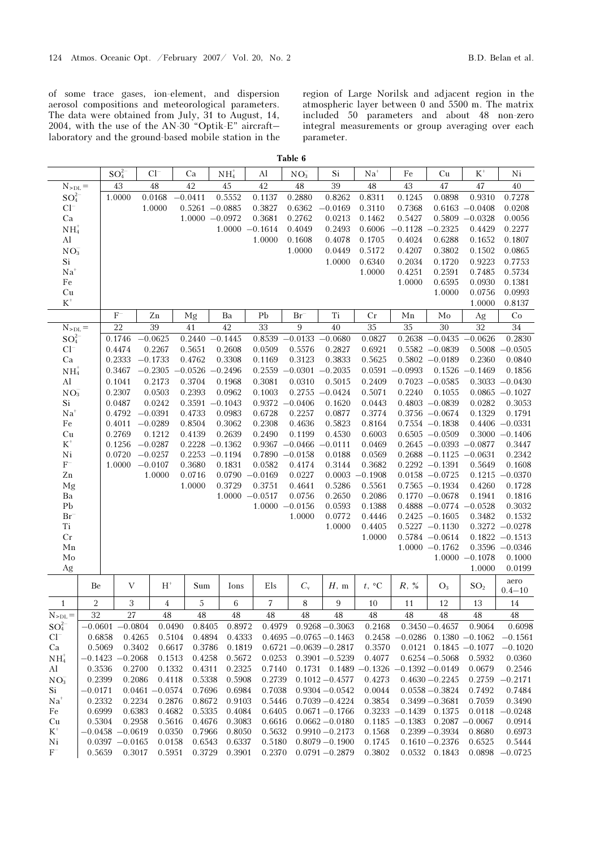of some trace gases, ion-element, and dispersion aerosol compositions and meteorological parameters. The data were obtained from July, 31 to August, 14, 2004, with the use of the AN-30 "Optik-E" aircraft– laboratory and the ground-based mobile station in the region of Large Norilsk and adjacent region in the atmospheric layer between 0 and 5500 m. The matrix included 50 parameters and about 48 non-zero integral measurements or group averaging over each parameter.

| ann |  |
|-----|--|
|-----|--|

|                 |                    | $SO_4^{2-}$  |                  | $Cl^-$    |                   | Ca                | $NH4+$      | Al                | $NO_3^-$                   | Si                | $Na+$                       | Fe                                | Cu                                    | $K^+$                      | Ni                                    |
|-----------------|--------------------|--------------|------------------|-----------|-------------------|-------------------|-------------|-------------------|----------------------------|-------------------|-----------------------------|-----------------------------------|---------------------------------------|----------------------------|---------------------------------------|
| $N_{\rm >DL}$ = |                    | 43           |                  | 48        |                   | 42                | 45          | 42                | 48                         | 39                | 48                          | 43                                | 47                                    | 47                         | 40                                    |
| $SO_4^{2-}$     |                    | 1.0000       |                  |           | 0.0168            | $-0.0411$         | 0.5552      | 0.1137            | 0.2880                     | 0.8262            | 0.8311                      | 0.1245                            | 0.0898                                | 0.9310                     | 0.7278                                |
| $Cl^-$          |                    |              |                  |           | 1.0000            | $0.5261 - 0.0885$ |             | 0.3827            | 0.6362                     | $-0.0169$         | 0.3110                      | 0.7368                            |                                       | $0.6163 - 0.0408$          | 0.0208                                |
| Ca              |                    |              |                  |           |                   | $1.0000 - 0.0972$ |             | 0.3681            | 0.2762                     | 0.0213            | 0.1462                      | 0.5427                            | 0.5809                                | $-0.0328$                  | 0.0056                                |
| $NH4+$          |                    |              |                  |           |                   |                   |             | $1.0000 - 0.1614$ | 0.4049                     | 0.2493            | 0.6006                      | $-0.1128$                         | $-0.2325$                             | 0.4429                     | 0.2277                                |
| ${\rm Al}$      |                    |              |                  |           |                   |                   |             | 1.0000            | 0.1608                     | 0.4078            | 0.1705                      | 0.4024                            | 0.6288                                | 0.1652                     | 0.1807                                |
| $NO_3^-$        |                    |              |                  |           |                   |                   |             |                   | 1.0000                     | 0.0449            | 0.5172                      | 0.4207                            | 0.3802                                | 0.1502                     | 0.0865                                |
| Si              |                    |              |                  |           |                   |                   |             |                   |                            | 1.0000            | 0.6340                      | 0.2034                            | 0.1720                                | 0.9223                     | 0.7753                                |
| $Na+$           |                    |              |                  |           |                   |                   |             |                   |                            |                   | 1.0000                      | 0.4251                            | 0.2591                                | 0.7485                     | 0.5734                                |
| Fe              |                    |              |                  |           |                   |                   |             |                   |                            |                   |                             | 1.0000                            | 0.6595                                | 0.0930                     | 0.1381                                |
| Cu              |                    |              |                  |           |                   |                   |             |                   |                            |                   |                             |                                   | 1.0000                                | 0.0756                     | 0.0993                                |
| $K^+$           |                    |              |                  |           |                   |                   |             |                   |                            |                   |                             |                                   |                                       | 1.0000                     | 0.8137                                |
|                 |                    | $\mathbf{F}$ |                  |           | ${\rm Zn}$        | Mg                | Ba          | P <sub>b</sub>    | $Br^-$                     | Ti                | Cr                          | Mn                                | Mo                                    | Ag                         | Co                                    |
| $N_{\rm >DL}$ = |                    | 22           |                  | 39        |                   | 41                | 42          | 33                | 9                          | $40\,$            | 35                          | 35                                | 30                                    | 32                         | $34\,$                                |
| $SO_4^{2-}$     |                    | 0.1746       |                  |           | 0.0625            | 0.2440            | $-0.1445$   | 0.8539            | $-0.0133$                  | $-0.0680$         | 0.0827                      |                                   | $0.2638 - 0.0435$                     | $-0.0626$                  | 0.2830                                |
| $Cl^-$          |                    | 0.4474       |                  |           | 0.2267            | 0.5651            | 0.2608      | 0.0509            | 0.5576                     | 0.2827            | 0.6921                      |                                   | $0.5582 -0.0839$                      | 0.5008                     | $-0.0505$                             |
| Ca              |                    | 0.2333       |                  | $-0.1733$ |                   | 0.4762            | 0.3308      | 0.1169            | 0.3123                     | 0.3833            | 0.5625                      |                                   | $0.5802 -0.0189$                      | 0.2360                     | 0.0840                                |
| $NH4+$          |                    | 0.3467       |                  |           | $-0.2305$         | $-0.0526 -0.2496$ |             | 0.2559            | $-0.0301$                  | $-0.2035$         | 0.0591                      | $-0.0993$                         | 0.1526                                | $-0.1469$                  | 0.1856                                |
| AI              |                    | 0.1041       |                  |           | 0.2173            | 0.3704            | 0.1968      | 0.3081            | 0.0310                     | 0.5015            | 0.2409                      |                                   | $0.7023 - 0.0585$                     | 0.3033                     | $-0.0430$                             |
| $NO_3^-$        |                    | 0.2307       |                  |           | 0.0503            | 0.2393            | 0.0962      | 0.1003            | 0.2755                     | $-0.0424$         | 0.5071                      | 0.2240                            | 0.1055                                |                            | $0.0865 - 0.1027$                     |
| Si              |                    | 0.0487       |                  |           | 0.0242            | $0.3591 - 0.1043$ |             | 0.9372            | $-0.0406$                  | 0.1620            | 0.0443                      |                                   | $0.4803 - 0.0839$                     | 0.0282                     | 0.3053                                |
| $Na+$           |                    | 0.4792       |                  | $-0.0391$ |                   | 0.4733            | 0.0983      | 0.6728            | 0.2257                     | 0.0877            | 0.3774                      |                                   | $0.3756 - 0.0674$                     | 0.1329                     | 0.1791                                |
| $\rm Fe$        |                    | 0.4011       |                  | $-0.0289$ |                   | 0.8504            | 0.3062      | 0.2308            | 0.4636                     | 0.5823            | 0.8164                      |                                   | $0.7554 - 0.1838$                     |                            | $0.4406 - 0.0331$                     |
| Cu              |                    | 0.2769       |                  |           | 0.1212            | 0.4139            | 0.2639      | 0.2490            | 0.1199                     | 0.4530            | 0.6003                      |                                   | $0.6505 - 0.0509$                     |                            | $0.3000 - 0.1406$                     |
| $\mbox{K}^+$    |                    | 0.1256       |                  | $-0.0287$ |                   | $0.2228 - 0.1362$ |             | 0.9367            | $-0.0466$                  | $-0.0111$         | 0.0469                      |                                   | $0.2645 - 0.0393$                     | $-0.0877$                  | 0.3447                                |
| Ni              |                    | 0.0720       |                  | $-0.0257$ |                   | $0.2253 -0.1194$  |             |                   | $0.7890 -0.0158$           | 0.0188            | 0.0569                      |                                   | $0.2688 - 0.1125$                     | $-0.0631$                  | 0.2342                                |
| $\mathcal{F}^-$ |                    | 1.0000       |                  | $-0.0107$ |                   | 0.3680            | 0.1831      | 0.0582            | 0.4174                     | 0.3144            | 0.3682                      |                                   | $0.2292 -0.1391$                      | 0.5649                     | 0.1608                                |
| ${\rm Zn}$      |                    |              |                  |           | 1.0000            | 0.0716            | 0.0790      | $-0.0169$         | 0.0227                     | 0.0003            | $-0.1908$                   |                                   | $0.0158 - 0.0725$                     |                            | $0.1215 - 0.0370$                     |
| Mg              |                    |              |                  |           |                   | 1.0000            | 0.3729      | 0.3751            | 0.4641                     | 0.5286            | 0.5561                      |                                   | $0.7565 - 0.1934$                     | 0.4260                     | 0.1728                                |
| Ba              |                    |              |                  |           |                   |                   |             | $1.0000 - 0.0517$ | 0.0756                     | 0.2650            | 0.2086                      |                                   | $0.1770 - 0.0678$                     | 0.1941                     | 0.1816                                |
| Pb              |                    |              |                  |           |                   |                   |             |                   | $1.0000 - 0.0156$          | 0.0593            | 0.1388                      |                                   | $0.4888 - 0.0774$                     | $-0.0528$                  | 0.3032                                |
| $\rm Br^-$      |                    |              |                  |           |                   |                   |             |                   | 1.0000                     | 0.0772            | 0.4446<br>0.4405            |                                   | $0.2425 - 0.1605$                     | 0.3482                     | 0.1532                                |
| Ti<br>$\rm Cr$  |                    |              |                  |           |                   |                   |             |                   |                            | 1.0000            | 1.0000                      |                                   | $0.5227 -0.1130$<br>$0.5784 - 0.0614$ |                            | $0.3272 -0.0278$<br>$0.1822 - 0.1513$ |
| Mn              |                    |              |                  |           |                   |                   |             |                   |                            |                   |                             |                                   | $1.0000 - 0.1762$                     |                            | $0.3596 - 0.0346$                     |
| Mo              |                    |              |                  |           |                   |                   |             |                   |                            |                   |                             |                                   |                                       | $1.0000 - 0.1078$          | 0.1000                                |
| Ag              |                    |              |                  |           |                   |                   |             |                   |                            |                   |                             |                                   |                                       | 1.0000                     | 0.0199                                |
|                 |                    |              |                  |           |                   |                   |             |                   |                            |                   |                             |                                   |                                       |                            |                                       |
|                 | Be                 |              | V                |           | $H^*$             | Sum               | Ions        | Els               | $C_{v}$                    | H, m              | $t, \, ^\circ \text{C}$     | R, %                              | $O_3$                                 | SO <sub>2</sub>            | aero<br>$0.4 - 10$                    |
| $\mathbf{1}$    | $\overline{2}$     |              | 3                |           | $\overline{4}$    | $\sqrt{5}$        | 6           | 7                 | 8                          | 9                 | 10                          | 11                                | 12                                    | 13                         | 14                                    |
| $N_{\rm >DL}$ = | $\overline{32}$    |              | 27               |           | 48                | $\sqrt{48}$       | $\sqrt{48}$ | 48                | $\sqrt{48}$                | $\sqrt{48}$       | 48                          | $\sqrt{48}$                       | $\sqrt{48}$                           | $\sqrt{48}$                | 48                                    |
| $SO_4^{2-}$     | $-0.0601 - 0.0804$ |              |                  |           | 0.0490            | 0.8405            | 0.8972      |                   | $0.4979$ $0.9268 - 0.3063$ |                   | 0.2168                      |                                   | $0.3450 - 0.4657$                     | 0.9064                     | 0.6098                                |
| $Cl^-$          | 0.6858             |              | 0.4265           |           | 0.5104            | 0.4894            | 0.4333      |                   | $0.4695 - 0.0765 - 0.1463$ |                   | 0.2458                      |                                   |                                       | $-0.0286$ 0.1380 $-0.1062$ | $-0.1561$                             |
| Ca              | 0.5069             |              | 0.3402           |           | 0.6617            | 0.3786            | 0.1819      |                   | $0.6721 - 0.0639 - 0.2817$ |                   | 0.3570                      |                                   | $0.0121$ $0.1845 - 0.1077$            |                            | $-0.1020$                             |
| $NH4+$          | $-0.1423$          |              | $-0.2068$        |           | 0.1513            | 0.4258            | 0.5672      | 0.0253            |                            | $0.3901 - 0.5239$ | 0.4077                      |                                   | $0.6254 - 0.5068$                     | 0.5932                     | 0.0360                                |
| Al              | 0.3536             |              | 0.2700           |           | 0.1332            | 0.4311            | 0.2325      | 0.7140            |                            |                   | $0.1731$ $0.1489$ $-0.1326$ | $-0.1392 - 0.0149$                |                                       | 0.0679                     | 0.2546                                |
| NO <sub>3</sub> | 0.2399             |              | 0.2086           |           | 0.4118            | 0.5338            | 0.5908      | 0.2739            |                            | $0.1012 - 0.4577$ | 0.4273                      |                                   | $0.4630 - 0.2245$                     | 0.2759                     | $-0.2171$                             |
| Si              | $-0.0171$          |              |                  |           | $0.0461 - 0.0574$ | 0.7696            | 0.6984      | 0.7038            |                            | $0.9304 - 0.0542$ | 0.0044                      |                                   | $0.0558 - 0.3824$                     | 0.7492                     | 0.7484                                |
| $Na+$           | 0.2332             |              | 0.2234           |           | 0.2876            | 0.8672            | 0.9103      | 0.5446            |                            | $0.7039 - 0.4224$ | 0.3854                      |                                   | $0.3499 - 0.3681$                     | 0.7059                     | 0.3490                                |
| Fe              | 0.6999             |              | 0.6383           |           | 0.4682            | 0.5335            | 0.4084      | 0.6405            |                            | $0.0671 - 0.1766$ |                             | $0.3233 - 0.1439$ 0.1375          |                                       | 0.0118                     | $-0.0248$                             |
| Cu              | 0.5304             |              | 0.2958           |           | 0.5616            | 0.4676            | 0.3083      | 0.6616            |                            | $0.0662 - 0.0180$ |                             | $0.1185 -0.1383$ $0.2087 -0.0067$ |                                       |                            | 0.0914                                |
| $K^+$           | $-0.0458 - 0.0619$ |              |                  |           | 0.0350            | 0.7966            | 0.8050      | 0.5632            |                            | $0.9910 - 0.2173$ | 0.1568                      |                                   | $0.2399 - 0.3934$                     | 0.8680                     | 0.6973                                |
| Ni              |                    |              | $0.0397 -0.0165$ |           | 0.0158            | 0.6543            | 0.6337      | 0.5180            |                            | $0.8079 - 0.1900$ | 0.1745                      |                                   | $0.1610 - 0.2376$                     | 0.6525                     | 0.5444                                |
| $\mathrm{F}^-$  | 0.5659             |              | 0.3017           |           | 0.5951            | 0.3729            | 0.3901      | 0.2370            |                            | $0.0791 - 0.2879$ | 0.3802                      |                                   | 0.0532 0.1843                         | 0.0898                     | $-0.0725$                             |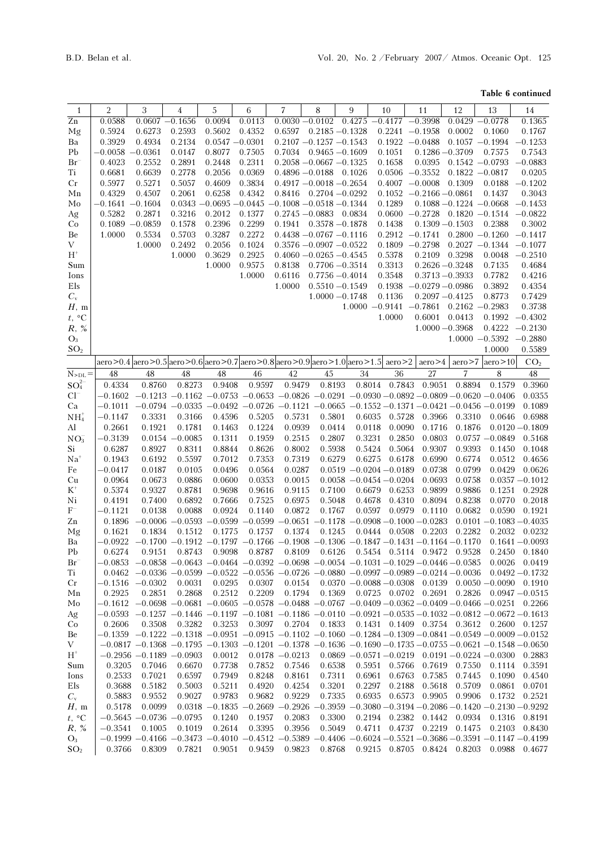### Table 6 continued

| $\mathbf{1}$            | $\overline{2}$      | 3                                                                                                                                 | 4                 | 5                                                                                                   | 6                | 7                          | 8                 | 9                 |                  | 10                         | 11                                      | 12                | 13                                                                                                            | 14                |
|-------------------------|---------------------|-----------------------------------------------------------------------------------------------------------------------------------|-------------------|-----------------------------------------------------------------------------------------------------|------------------|----------------------------|-------------------|-------------------|------------------|----------------------------|-----------------------------------------|-------------------|---------------------------------------------------------------------------------------------------------------|-------------------|
| $\overline{Zn}$         | 0.0588              | $0.0607 - 0.1656$                                                                                                                 |                   | 0.0094                                                                                              | 0.0113           | $0.0030 - 0.0102$          |                   | 0.4275            |                  | $-0.4177$                  | $-0.3998$                               |                   | $0.0429 - 0.0778$                                                                                             | 0.1365            |
| Mg                      | 0.5924              | 0.6273                                                                                                                            | 0.2593            | 0.5602                                                                                              | 0.4352           | 0.6597                     | $0.2185 - 0.1328$ |                   |                  | $0.2241 - 0.1958$          |                                         | 0.0002            | 0.1060                                                                                                        | 0.1767            |
| Ba                      | 0.3929              | 0.4934                                                                                                                            | 0.2134            | $0.0547 - 0.0301$                                                                                   |                  | $0.2107 - 0.1257 - 0.1543$ |                   |                   |                  | $0.1922 -0.0488$           |                                         |                   | $0.1057 - 0.1994$                                                                                             | $-0.1253$         |
| Pb                      | $-0.0058$           | $-0.0361$                                                                                                                         | 0.0147            | 0.8077                                                                                              | 0.7505           | $0.7034$ $0.9465 - 0.1609$ |                   |                   |                  | 0.1051                     | $0.1286 - 0.3709$                       |                   | 0.7575                                                                                                        | 0.7543            |
|                         | 0.4023              | 0.2552                                                                                                                            | 0.2891            | 0.2448                                                                                              | 0.2311           | $0.2058 - 0.0667 - 0.1325$ |                   |                   |                  | 0.1658                     | 0.0395                                  |                   | $0.1542 - 0.0793$                                                                                             | $-0.0883$         |
| $Br^-$<br>Ti            | 0.6681              | 0.6639                                                                                                                            | 0.2778            | 0.2056                                                                                              | 0.0369           | $0.4896 - 0.0188$ 0.1026   |                   |                   |                  | $0.0506 - 0.3552$          |                                         | $0.1822 - 0.0817$ |                                                                                                               | 0.0205            |
|                         |                     |                                                                                                                                   |                   |                                                                                                     |                  |                            |                   |                   |                  |                            |                                         |                   |                                                                                                               |                   |
| Cr                      | 0.5977              | 0.5271                                                                                                                            | 0.5057            | 0.4609                                                                                              | 0.3834           | $0.4917 - 0.0018 - 0.2654$ |                   |                   |                  | $0.4007 - 0.0008$          |                                         | 0.1309            | 0.0188                                                                                                        | $-0.1202$         |
| Мn                      | 0.4329              | 0.4507                                                                                                                            | 0.2061            | 0.6258                                                                                              | 0.4342           | 0.8416                     | $0.2704 - 0.0292$ |                   |                  |                            | $0.1052 -0.2166 -0.0861$                |                   | 0.1437                                                                                                        | 0.3043            |
| Mo                      | $-0.1641 - 0.1604$  |                                                                                                                                   |                   | $0.0343 - 0.0695 - 0.0445 - 0.1008 - 0.0518 - 0.1344$                                               |                  |                            |                   |                   |                  | 0.1289                     | $0.1088 - 0.1224 - 0.0668$              |                   |                                                                                                               | $-0.1453$         |
| Ag                      | 0.5282              | 0.2871                                                                                                                            | 0.3216            | 0.2012                                                                                              | 0.1377           | $0.2745 - 0.0883$          |                   | 0.0834            |                  |                            | $0.0600 -0.2728$ $0.1820 -0.1514$       |                   |                                                                                                               | $-0.0822$         |
| Co                      | $0.1089 - 0.0859$   |                                                                                                                                   | 0.1578            | 0.2396                                                                                              | 0.2299           | 0.1941                     | $0.3578 - 0.1878$ |                   |                  | 0.1438                     | $0.1309 - 0.1503$                       |                   | 0.2388                                                                                                        | 0.3002            |
| Be                      | 1.0000              | 0.5534                                                                                                                            | 0.5703            | 0.3287                                                                                              | 0.2272           | $0.4438 - 0.0767 - 0.1116$ |                   |                   |                  | $0.2912 -0.1741$           |                                         |                   | $0.2800 - 0.1260$                                                                                             | $-0.1417$         |
| V                       |                     | 1.0000                                                                                                                            | 0.2492            | 0.2056                                                                                              | 0.1024           | $0.3576 - 0.0907 - 0.0522$ |                   |                   |                  | $0.1809 - 0.2798$          |                                         |                   | $0.2027 - 0.1344$                                                                                             | $-0.1077$         |
| $\mathbf{H}^+$          |                     |                                                                                                                                   | 1.0000            | 0.3629                                                                                              | 0.2925           | $0.4060 - 0.0265 - 0.4545$ |                   |                   |                  | 0.5378                     | 0.2109                                  | 0.3298            | 0.0048                                                                                                        | $-0.2510$         |
| Sum                     |                     |                                                                                                                                   |                   | 1.0000                                                                                              | 0.9575           | 0.8138                     | $0.7706 - 0.3514$ |                   |                  | 0.3313                     | $0.2626 - 0.3248$                       |                   | 0.7135                                                                                                        | 0.4684            |
| Ions                    |                     |                                                                                                                                   |                   |                                                                                                     | 1.0000           | 0.6116                     | $0.7756 - 0.4014$ |                   |                  | 0.3548                     | $0.3713 - 0.3933$                       |                   | 0.7782                                                                                                        | 0.4216            |
| Els                     |                     |                                                                                                                                   |                   |                                                                                                     |                  | 1.0000                     |                   | $0.5510 - 0.1549$ |                  | 0.1938                     | $-0.0279 - 0.0986$                      |                   | 0.3892                                                                                                        | 0.4354            |
| $C_{\rm v}$             |                     |                                                                                                                                   |                   |                                                                                                     |                  |                            |                   | $1.0000 - 0.1748$ |                  | 0.1136                     | $0.2097 - 0.4125$                       |                   | 0.8773                                                                                                        | 0.7429            |
| H, m                    |                     |                                                                                                                                   |                   |                                                                                                     |                  |                            |                   |                   |                  |                            | $1.0000 -0.9141 -0.7861 0.2162 -0.2983$ |                   |                                                                                                               | 0.3738            |
| $t, \ ^{\circ}\text{C}$ |                     |                                                                                                                                   |                   |                                                                                                     |                  |                            |                   |                   |                  | 1.0000                     | 0.6001                                  | 0.0413            | 0.1992                                                                                                        | $-0.4302$         |
| $R,~\%$                 |                     |                                                                                                                                   |                   |                                                                                                     |                  |                            |                   |                   |                  |                            | $1.0000 - 0.3968$                       |                   | $0.4222 -0.2130$                                                                                              |                   |
| $O_3$                   |                     |                                                                                                                                   |                   |                                                                                                     |                  |                            |                   |                   |                  |                            |                                         |                   | $1.0000 -0.5392 -0.2880$                                                                                      |                   |
| SO <sub>2</sub>         |                     |                                                                                                                                   |                   |                                                                                                     |                  |                            |                   |                   |                  |                            |                                         |                   | 1.0000                                                                                                        | 0.5589            |
|                         |                     | aero > 0.4 aero > 0.5 aero > 0.6 aero > 0.7 aero > 0.8 aero > 0.9 aero > 1.0 aero > 1.5 aero > 2                                  |                   |                                                                                                     |                  |                            |                   |                   |                  |                            | aero > 4                                | aero > 7          | aero > 10                                                                                                     | CO <sub>2</sub>   |
| $N_{\rm >DL}$ =         | 48                  | 48                                                                                                                                | 48                | 48                                                                                                  | 46               | 42                         | 45                | 34                |                  | 36                         | 27                                      | 7                 | 8                                                                                                             | 48                |
| $SO_4^{2-}$             | 0.4334              | 0.8760                                                                                                                            | 0.8273            | 0.9408                                                                                              | 0.9597           | 0.9479                     | 0.8193            |                   | 0.8014           | 0.7843                     | 0.9051                                  | 0.8894            | 0.1579                                                                                                        | 0.3960            |
| $Cl^-$                  | $-0.1602$           |                                                                                                                                   |                   |                                                                                                     |                  |                            |                   |                   |                  |                            |                                         |                   | $-0.1213 - 0.1162 - 0.0753 - 0.0653 - 0.0826 - 0.0291 - 0.0930 - 0.0892 - 0.0809 - 0.0620 - 0.0406$           | 0.0355            |
| Ca                      | $-0.1011$           |                                                                                                                                   |                   |                                                                                                     |                  |                            |                   |                   |                  |                            |                                         |                   | $-0.0794$ $-0.0335$ $-0.0492$ $-0.0726$ $-0.1121$ $-0.0665$ $-0.1552$ $-0.1371$ $-0.0421$ $-0.0456$ $-0.0199$ | 0.1089            |
| NH <sub>4</sub>         | $-0.1147$           | 0.3331                                                                                                                            | 0.3166            | 0.4596                                                                                              | 0.5205           | 0.5731                     | 0.5801            |                   | 0.6035           | 0.5728                     | 0.3966                                  | 0.3310            | 0.0646                                                                                                        | 0.6988            |
| Al                      | 0.2661              | 0.1921                                                                                                                            | 0.1781            | 0.1463                                                                                              | 0.1224           | 0.0939                     | 0.0414            |                   | 0.0118           | 0.0090                     | 0.1716                                  | 0.1876            |                                                                                                               | $0.0120 - 0.1809$ |
| NO <sub>3</sub>         | $-0.3139$           |                                                                                                                                   | $0.0154 - 0.0085$ | 0.1311                                                                                              | 0.1959           | 0.2515                     | 0.2807            |                   | 0.3231           | 0.2850                     | 0.0803                                  |                   | $0.0757 - 0.0849$                                                                                             | 0.5168            |
| Si                      | 0.6287              | 0.8927                                                                                                                            | 0.8311            | 0.8844                                                                                              | 0.8626           | 0.8002                     | 0.5938            |                   | 0.5424           | 0.5064                     | 0.9307                                  | 0.9393            | 0.1450                                                                                                        | 0.1048            |
| $Na+$                   |                     | 0.6192                                                                                                                            | 0.5597            | 0.7012                                                                                              | 0.7353           | 0.7319                     | 0.6279            |                   | 0.6275           | 0.6178                     | 0.6990                                  | 0.6774            | 0.0512                                                                                                        | 0.4656            |
| Fe                      | 0.1943<br>$-0.0417$ | 0.0187                                                                                                                            | 0.0105            | 0.0496                                                                                              | 0.0564           | 0.0287                     |                   |                   |                  | $0.0519 - 0.0204 - 0.0189$ | 0.0738                                  | 0.0799            | 0.0429                                                                                                        | 0.0626            |
|                         | 0.0964              | 0.0673                                                                                                                            | 0.0886            | 0.0600                                                                                              | 0.0353           | 0.0015                     |                   |                   |                  | $0.0058 - 0.0454 - 0.0204$ | 0.0693                                  | 0.0758            |                                                                                                               | $0.0357 - 0.1012$ |
| Cu                      |                     |                                                                                                                                   |                   |                                                                                                     |                  |                            |                   |                   |                  |                            |                                         |                   |                                                                                                               |                   |
| $K^+$<br>Ni             | 0.5374              | 0.9327<br>0.7400                                                                                                                  | 0.8781<br>0.6892  | 0.9698<br>0.7666                                                                                    | 0.9616<br>0.7525 | 0.9115<br>0.6975           | 0.7100<br>0.5048  |                   | 0.6679<br>0.4678 | 0.6253<br>0.4310           | 0.9899<br>0.8094                        | 0.9886<br>0.8238  | 0.1251<br>0.0770                                                                                              | 0.2928<br>0.2018  |
| $\mathrm{F}^-$          | 0.4191              | 0.0138                                                                                                                            | 0.0088            | 0.0924                                                                                              | 0.1140           | 0.0872                     | 0.1767            |                   | 0.0597           | 0.0979                     | 0.1110                                  | 0.0682            | 0.0590                                                                                                        | 0.1921            |
| Zn                      | -0.1121<br>0.1896   |                                                                                                                                   |                   | $-0.0006 - 0.0593 - 0.0599 - 0.0599 - 0.0651 - 0.1178 - 0.0908 - 0.1000 - 0.0283$                   |                  |                            |                   |                   |                  |                            |                                         |                   | $0.0101 - 0.1083 - 0.4035$                                                                                    |                   |
|                         |                     | 0.1834                                                                                                                            | 0.1512            | 0.1775                                                                                              | 0.1757           | 0.1374                     | 0.1245            |                   |                  |                            | 0.0444 0.0508 0.2203                    | 0.2282            | 0.2032                                                                                                        | 0.0232            |
| Mg                      | 0.1621              |                                                                                                                                   |                   | $-0.1700$ $-0.1912$ $-0.1797$ $-0.1766$ $-0.1908$ $-0.1306$ $-0.1847$ $-0.1431$ $-0.1164$ $-0.1170$ |                  |                            |                   |                   |                  |                            |                                         |                   |                                                                                                               | $0.1641 - 0.0093$ |
| Ba<br>Pb.               | –0.0922<br>0.6274   |                                                                                                                                   |                   |                                                                                                     |                  |                            |                   |                   |                  |                            |                                         |                   | 0.9151 0.8743 0.9098 0.8787 0.8109 0.6126 0.5454 0.5114 0.9472 0.9528 0.2450 0.1840                           |                   |
|                         |                     | $-0.0853 -0.0858 -0.0643 -0.0464 -0.0392 -0.0698 -0.0054 -0.1031 -0.1029 -0.0446 -0.0585$ 0.0026 0.0419                           |                   |                                                                                                     |                  |                            |                   |                   |                  |                            |                                         |                   |                                                                                                               |                   |
| $Br^-$<br>Ti            |                     | $0.0462 - 0.0336 - 0.0599 - 0.0522 - 0.0556 - 0.0726 - 0.0880 - 0.0997 - 0.0989 - 0.0214 - 0.0036 - 0.0492 - 0.1732$              |                   |                                                                                                     |                  |                            |                   |                   |                  |                            |                                         |                   |                                                                                                               |                   |
|                         |                     |                                                                                                                                   |                   |                                                                                                     |                  |                            |                   |                   |                  |                            |                                         |                   |                                                                                                               |                   |
| Cr                      |                     | $-0.1516$ $-0.0302$                                                                                                               | 0.0031            | 0.0295                                                                                              | 0.0307           | 0.0154                     |                   |                   |                  |                            |                                         |                   | $0.0370 -0.0088 -0.0308$ $0.0139$ $0.0050 -0.0090$ 0.1910                                                     |                   |
| Mn                      | 0.2925              | 0.2851                                                                                                                            | 0.2868            | 0.2512                                                                                              | 0.2209           | 0.1794                     | 0.1369            |                   |                  |                            |                                         |                   | $0.0725$ $0.0702$ $0.2691$ $0.2826$ $0.0947 - 0.0515$                                                         |                   |
| Mo                      |                     | $-0.1612$ $-0.0698$ $-0.0681$ $-0.0605$ $-0.0578$ $-0.0488$ $-0.0767$ $-0.0409$ $-0.0362$ $-0.0409$ $-0.0466$ $-0.0251$ $0.2266$  |                   |                                                                                                     |                  |                            |                   |                   |                  |                            |                                         |                   |                                                                                                               |                   |
| Ag                      |                     | $-0.0593$ $-0.1257$ $-0.1446$ $-0.1197$ $-0.1081$ $-0.1186$ $-0.0110$ $-0.0921$ $-0.0535$ $-0.1032$ $-0.0812$ $-0.0672$ $-0.1613$ |                   |                                                                                                     |                  |                            |                   |                   |                  |                            |                                         |                   |                                                                                                               |                   |
| Co                      | 0.2606              | 0.3508                                                                                                                            | 0.3282            | 0.3253                                                                                              | 0.3097           |                            |                   |                   |                  |                            |                                         |                   | 0.2704 0.1833 0.1431 0.1409 0.3754 0.3612 0.2600 0.1257                                                       |                   |
| Be                      |                     | $-0.1359 -0.1222 -0.1318 -0.0951 -0.0915 -0.1102 -0.1060 -0.1284 -0.1309 -0.0841 -0.0549 -0.0009 -0.0152$                         |                   |                                                                                                     |                  |                            |                   |                   |                  |                            |                                         |                   |                                                                                                               |                   |
| V                       |                     | $-0.0817$ $-0.1368$ $-0.1795$ $-0.1303$ $-0.1201$ $-0.1378$ $-0.1636$ $-0.1690$ $-0.1735$ $-0.0755$ $-0.0621$ $-0.1548$ $-0.0650$ |                   |                                                                                                     |                  |                            |                   |                   |                  |                            |                                         |                   |                                                                                                               |                   |
| $H^+$                   |                     | $-0.2956 -0.1189 -0.0903$                                                                                                         |                   | 0.0012                                                                                              |                  | $0.0178 - 0.0213$          |                   |                   |                  |                            |                                         |                   | $0.0869 - 0.0571 - 0.0219$ $0.0191 - 0.0224 - 0.0300$                                                         | 0.2883            |
| Sum                     | 0.3205              | 0.7046                                                                                                                            | 0.6670            | 0.7738                                                                                              | 0.7852           | 0.7546                     | 0.6538            |                   |                  | 0.5951 0.5766              |                                         | 0.7619 0.7550     | 0.1114                                                                                                        | 0.3591            |
| Ions                    | 0.2533              | 0.7021                                                                                                                            | 0.6597            | 0.7949                                                                                              | 0.8248           | 0.8161                     | 0.7311            |                   | 0.6961           | 0.6763                     | 0.7585                                  | 0.7445            | 0.1090                                                                                                        | 0.4540            |
| Els                     | 0.3688              | 0.5182                                                                                                                            | 0.5003            | 0.5211                                                                                              | 0.4920           | 0.4254                     | 0.3201            |                   | 0.2297           | 0.2188                     | 0.5618                                  | 0.5709            | 0.0861                                                                                                        | 0.0701            |
| $C_{\rm v}$             | 0.5883              | 0.9552                                                                                                                            | 0.9027            | 0.9783                                                                                              | 0.9682           | 0.9229                     | 0.7335            |                   | 0.6935           | 0.6573                     | 0.9905                                  | 0.9906            | 0.1732                                                                                                        | 0.2521            |
| H, m                    | 0.5178              | 0.0099                                                                                                                            |                   |                                                                                                     |                  |                            |                   |                   |                  |                            |                                         |                   | $0.0318 - 0.1835 - 0.2669 - 0.2926 - 0.3959 - 0.3080 - 0.3194 - 0.2086 - 0.1420 - 0.2130 - 0.9292$            |                   |
| $t, \, ^\circ \text{C}$ |                     | $-0.5645 - 0.0736 - 0.0795$                                                                                                       |                   | 0.1240                                                                                              | 0.1957           | 0.2083                     | 0.3300            |                   |                  |                            | 0.2194 0.2382 0.1442 0.0934             |                   | 0.1316                                                                                                        | 0.8191            |
| R, %                    | $-0.3541$           | 0.1005                                                                                                                            | 0.1019            | 0.2614                                                                                              | 0.3395           | 0.3956                     | 0.5049            |                   |                  |                            | 0.4711 0.4737 0.2219 0.1475             |                   |                                                                                                               | 0.2103 0.8430     |
| $O_3$                   |                     | $-0.1999 - 0.4166 - 0.3473 - 0.4010 - 0.4512 - 0.5389 - 0.4406 - 0.6024 - 0.5521 - 0.3686 - 0.3591 - 0.1147 - 0.4199$             |                   |                                                                                                     |                  |                            |                   |                   |                  |                            |                                         |                   |                                                                                                               |                   |
| SO <sub>2</sub>         | 0.3766              | 0.8309                                                                                                                            | 0.7821            | 0.9051                                                                                              | 0.9459           |                            |                   |                   |                  |                            |                                         |                   | 0.9823 0.8768 0.9215 0.8705 0.8424 0.8203 0.0988 0.4677                                                       |                   |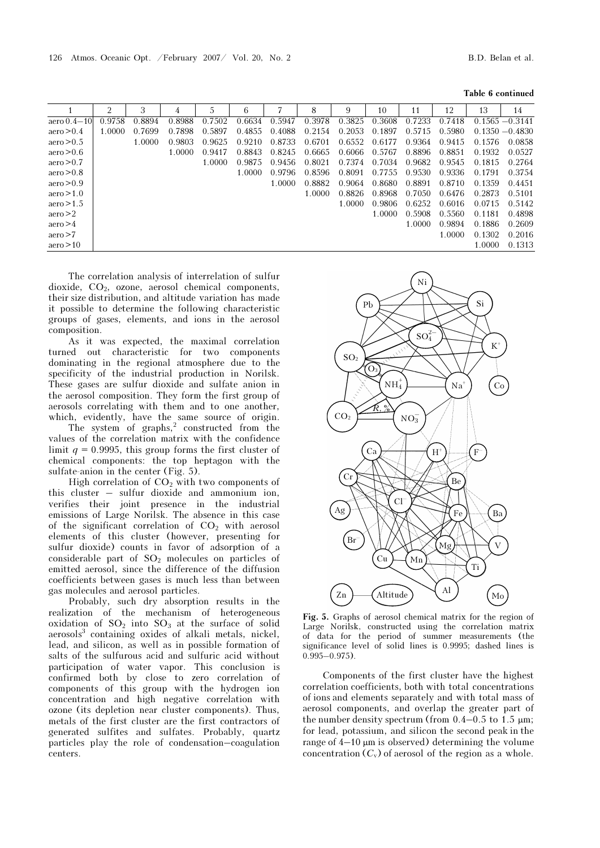|               | 2      | 3      | 4      |        | 6      |        | 8      | 9      | 10     | 11     | 12     | 13     | 14                |
|---------------|--------|--------|--------|--------|--------|--------|--------|--------|--------|--------|--------|--------|-------------------|
| aero $0.4-10$ | 0.9758 | 0.8894 | 0.8988 | 0.7502 | 0.6634 | 0.5947 | 0.3978 | 0.3825 | 0.3608 | 0.7233 | 0.7418 |        | $0.1565 - 0.3141$ |
| aero > 0.4    | 1.0000 | 0.7699 | 0.7898 | 0.5897 | 0.4855 | 0.4088 | 0.2154 | 0.2053 | 0.1897 | 0.5715 | 0.5980 |        | $0.1350 - 0.4830$ |
| aero > 0.5    |        | 1.0000 | 0.9803 | 0.9625 | 0.9210 | 0.8733 | 0.6701 | 0.6552 | 0.6177 | 0.9364 | 0.9415 | 0.1576 | 0.0858            |
| aero > 0.6    |        |        | 1.0000 | 0.9417 | 0.8843 | 0.8245 | 0.6665 | 0.6066 | 0.5767 | 0.8896 | 0.8851 | 0.1932 | 0.0527            |
| aero > 0.7    |        |        |        | 1.0000 | 0.9875 | 0.9456 | 0.8021 | 0.7374 | 0.7034 | 0.9682 | 0.9545 | 0.1815 | 0.2764            |
| aero > 0.8    |        |        |        |        | 1.0000 | 0.9796 | 0.8596 | 0.8091 | 0.7755 | 0.9530 | 0.9336 | 0.1791 | 0.3754            |
| aero > 0.9    |        |        |        |        |        | 1.0000 | 0.8882 | 0.9064 | 0.8680 | 0.8891 | 0.8710 | 0.1359 | 0.4451            |
| aero > 1.0    |        |        |        |        |        |        | 1.0000 | 0.8826 | 0.8968 | 0.7050 | 0.6476 | 0.2873 | 0.5101            |
| aero > 1.5    |        |        |        |        |        |        |        | 1.0000 | 0.9806 | 0.6252 | 0.6016 | 0.0715 | 0.5142            |
| aero > 2      |        |        |        |        |        |        |        |        | 1.0000 | 0.5908 | 0.5560 | 0.1181 | 0.4898            |
| aero > 4      |        |        |        |        |        |        |        |        |        | 1.0000 | 0.9894 | 0.1886 | 0.2609            |
| aero > 7      |        |        |        |        |        |        |        |        |        |        | 1.0000 | 0.1302 | 0.2016            |
| aero > 10     |        |        |        |        |        |        |        |        |        |        |        | 1.0000 | 0.1313            |

The correlation analysis of interrelation of sulfur dioxide, CO2, ozone, aerosol chemical components, their size distribution, and altitude variation has made it possible to determine the following characteristic groups of gases, elements, and ions in the aerosol composition.

As it was expected, the maximal correlation turned out characteristic for two components dominating in the regional atmosphere due to the specificity of the industrial production in Norilsk. These gases are sulfur dioxide and sulfate anion in the aerosol composition. They form the first group of aerosols correlating with them and to one another,

which, evidently, have the same source of origin.<br>The system of graphs,<sup>2</sup> constructed from the values of the correlation matrix with the confidence limit  $q = 0.9995$ , this group forms the first cluster of chemical components: the top heptagon with the sulfate-anion in the center (Fig. 5).

High correlation of  $CO<sub>2</sub>$  with two components of this cluster – sulfur dioxide and ammonium ion, verifies their joint presence in the industrial emissions of Large Norilsk. The absence in this case of the significant correlation of  $CO<sub>2</sub>$  with aerosol elements of this cluster (however, presenting for sulfur dioxide) counts in favor of adsorption of a considerable part of  $SO<sub>2</sub>$  molecules on particles of emitted aerosol, since the difference of the diffusion coefficients between gases is much less than between gas molecules and aerosol particles.

Probably, such dry absorption results in the realization of the mechanism of heterogeneous oxidation of  $SO_2$  into  $SO_3$  at the surface of solid aerosols<sup>3</sup> containing oxides of alkali metals, nickel, lead, and silicon, as well as in possible formation of salts of the sulfurous acid and sulfuric acid without participation of water vapor. This conclusion is confirmed both by close to zero correlation of components of this group with the hydrogen ion concentration and high negative correlation with ozone (its depletion near cluster components). Thus, metals of the first cluster are the first contractors of generated sulfites and sulfates. Probably, quartz particles play the role of condensation–coagulation centers.



Fig. 5. Graphs of aerosol chemical matrix for the region of Large Norilsk, constructed using the correlation matrix of data for the period of summer measurements (the significance level of solid lines is 0.9995; dashed lines is  $0.995 - 0.975$ ).

Components of the first cluster have the highest correlation coefficients, both with total concentrations of ions and elements separately and with total mass of aerosol components, and overlap the greater part of the number density spectrum (from  $0.4-0.5$  to  $1.5 \mu m$ ; for lead, potassium, and silicon the second peak in the range of  $4-10 \mu m$  is observed) determining the volume concentration  $(C_v)$  of aerosol of the region as a whole.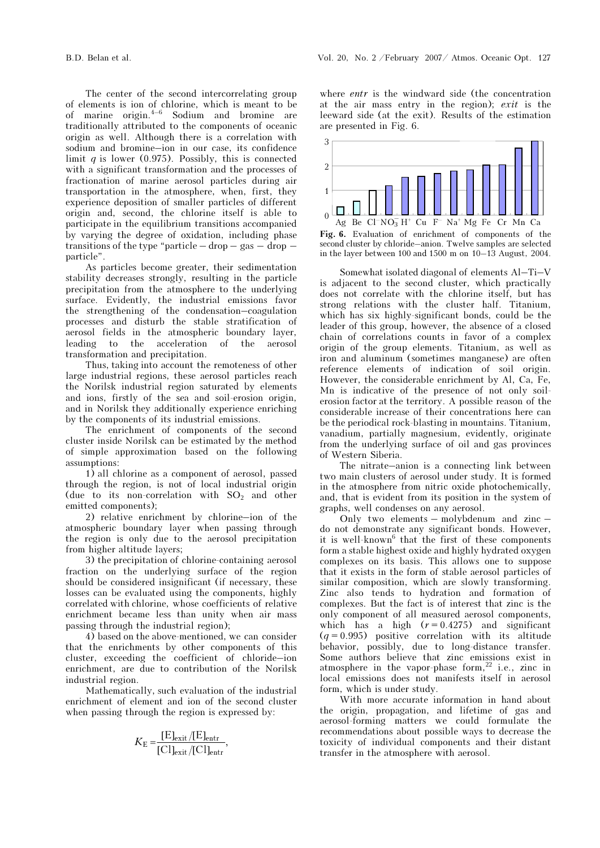The center of the second intercorrelating group of elements is ion of chlorine, which is meant to be of marine origin. $4-6$  Sodium and bromine are traditionally attributed to the components of oceanic origin as well. Although there is a correlation with sodium and bromine–ion in our case, its confidence limit  $q$  is lower (0.975). Possibly, this is connected with a significant transformation and the processes of fractionation of marine aerosol particles during air transportation in the atmosphere, when, first, they experience deposition of smaller particles of different origin and, second, the chlorine itself is able to participate in the equilibrium transitions accompanied by varying the degree of oxidation, including phase transitions of the type "particle – drop – gas – drop – particle".

As particles become greater, their sedimentation stability decreases strongly, resulting in the particle precipitation from the atmosphere to the underlying surface. Evidently, the industrial emissions favor the strengthening of the condensation–coagulation processes and disturb the stable stratification of aerosol fields in the atmospheric boundary layer, leading to the acceleration of the aerosol transformation and precipitation.

Thus, taking into account the remoteness of other large industrial regions, these aerosol particles reach the Norilsk industrial region saturated by elements and ions, firstly of the sea and soil-erosion origin, and in Norilsk they additionally experience enriching by the components of its industrial emissions.

The enrichment of components of the second cluster inside Norilsk can be estimated by the method of simple approximation based on the following assumptions:

1) all chlorine as a component of aerosol, passed through the region, is not of local industrial origin (due to its non-correlation with  $SO_2$  and other emitted components);

2) relative enrichment by chlorine–ion of the atmospheric boundary layer when passing through the region is only due to the aerosol precipitation from higher altitude layers;

3) the precipitation of chlorine-containing aerosol fraction on the underlying surface of the region should be considered insignificant (if necessary, these losses can be evaluated using the components, highly correlated with chlorine, whose coefficients of relative enrichment became less than unity when air mass passing through the industrial region);

4) based on the above-mentioned, we can consider that the enrichments by other components of this cluster, exceeding the coefficient of chloride–ion enrichment, are due to contribution of the Norilsk industrial region.

Mathematically, such evaluation of the industrial enrichment of element and ion of the second cluster when passing through the region is expressed by:

$$
K_{\rm E} = \frac{[{\rm E}]_{\rm exit}/[{\rm E}]_{\rm entr}}{[{\rm C}]_{\rm exit}/[{\rm C}]_{\rm entr}},
$$

where *entr* is the windward side (the concentration at the air mass entry in the region); exit is the leeward side (at the exit). Results of the estimation are presented in Fig. 6.



Fig. 6. Evaluation of enrichment of components of the second cluster by chloride–anion. Twelve samples are selected in the layer between 100 and 1500 m on 10–13 August, 2004.

Somewhat isolated diagonal of elements Al–Ti–V is adjacent to the second cluster, which practically does not correlate with the chlorine itself, but has strong relations with the cluster half. Titanium, which has six highly-significant bonds, could be the leader of this group, however, the absence of a closed chain of correlations counts in favor of a complex origin of the group elements. Titanium, as well as iron and aluminum (sometimes manganese) are often reference elements of indication of soil origin. However, the considerable enrichment by Al, Ca, Fe, Mn is indicative of the presence of not only soilerosion factor at the territory. A possible reason of the considerable increase of their concentrations here can be the periodical rock-blasting in mountains. Titanium, vanadium, partially magnesium, evidently, originate from the underlying surface of oil and gas provinces of Western Siberia.

The nitrate–anion is a connecting link between two main clusters of aerosol under study. It is formed in the atmosphere from nitric oxide photochemically, and, that is evident from its position in the system of graphs, well condenses on any aerosol.

Only two elements – molybdenum and zinc – do not demonstrate any significant bonds. However, it is well-known<sup>6</sup> that the first of these components form a stable highest oxide and highly hydrated oxygen complexes on its basis. This allows one to suppose that it exists in the form of stable aerosol particles of similar composition, which are slowly transforming. Zinc also tends to hydration and formation of complexes. But the fact is of interest that zinc is the only component of all measured aerosol components, which has a high  $(r = 0.4275)$  and significant  $(q = 0.995)$  positive correlation with its altitude behavior, possibly, due to long-distance transfer. Some authors believe that zinc emissions exist in atmosphere in the vapor-phase form, $^{22}$  i.e., zinc in local emissions does not manifests itself in aerosol form, which is under study.

With more accurate information in hand about the origin, propagation, and lifetime of gas and aerosol-forming matters we could formulate the recommendations about possible ways to decrease the toxicity of individual components and their distant transfer in the atmosphere with aerosol.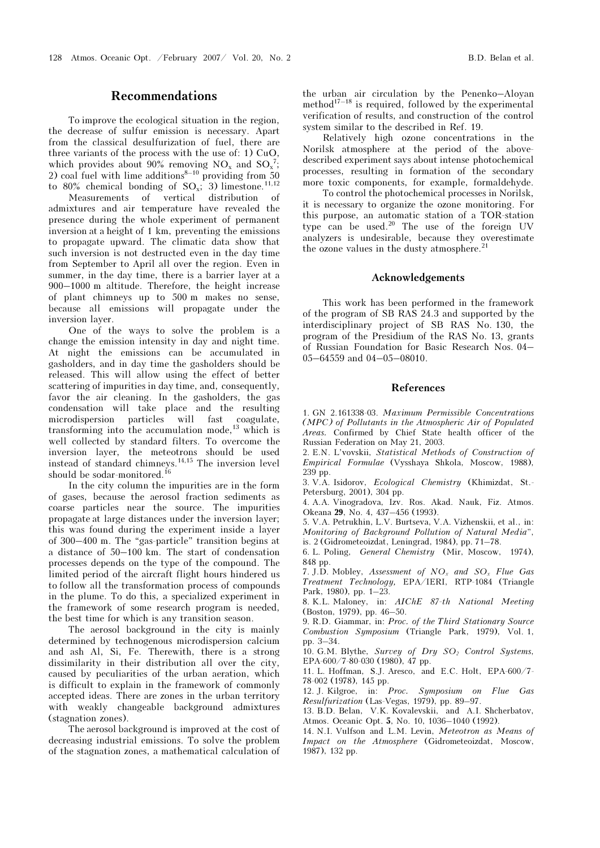### Recommendations

To improve the ecological situation in the region, the decrease of sulfur emission is necessary. Apart from the classical desulfurization of fuel, there are three variants of the process with the use of: 1) CuO, which provides about 90% removing  $NO_x$  and  $SO_x^7$ ; 2) coal fuel with lime additions<sup>8-10</sup> providing from  $50$ to 80% chemical bonding of  $SO<sub>x</sub>$ ; 3) limestone.<sup>11,12</sup>

 Measurements of vertical distribution of admixtures and air temperature have revealed the presence during the whole experiment of permanent inversion at a height of 1 km, preventing the emissions to propagate upward. The climatic data show that such inversion is not destructed even in the day time from September to April all over the region. Even in summer, in the day time, there is a barrier layer at a 900–1000 m altitude. Therefore, the height increase of plant chimneys up to 500 m makes no sense, because all emissions will propagate under the inversion layer.

One of the ways to solve the problem is a change the emission intensity in day and night time. At night the emissions can be accumulated in gasholders, and in day time the gasholders should be released. This will allow using the effect of better scattering of impurities in day time, and, consequently, favor the air cleaning. In the gasholders, the gas condensation will take place and the resulting microdispersion particles will fast coagulate, transforming into the accumulation mode,<sup>13</sup> which is well collected by standard filters. To overcome the inversion layer, the meteotrons should be used instead of standard chimneys.14,15 The inversion level should be sodar-monitored.<sup>16</sup>

In the city column the impurities are in the form of gases, because the aerosol fraction sediments as coarse particles near the source. The impurities propagate at large distances under the inversion layer; this was found during the experiment inside a layer of 300–400 m. The "gas-particle" transition begins at a distance of 50–100 km. The start of condensation processes depends on the type of the compound. The limited period of the aircraft flight hours hindered us to follow all the transformation process of compounds in the plume. To do this, a specialized experiment in the framework of some research program is needed, the best time for which is any transition season.

The aerosol background in the city is mainly determined by technogenous microdispersion calcium and ash Al, Si, Fe. Therewith, there is a strong dissimilarity in their distribution all over the city, caused by peculiarities of the urban aeration, which is difficult to explain in the framework of commonly accepted ideas. There are zones in the urban territory with weakly changeable background admixtures (stagnation zones).

The aerosol background is improved at the cost of decreasing industrial emissions. To solve the problem of the stagnation zones, a mathematical calculation of the urban air circulation by the Penenko–Aloyan method<sup>17–18</sup> is required, followed by the experimental verification of results, and construction of the control system similar to the described in Ref. 19.

Relatively high ozone concentrations in the Norilsk atmosphere at the period of the abovedescribed experiment says about intense photochemical processes, resulting in formation of the secondary more toxic components, for example, formaldehyde.

 To control the photochemical processes in Norilsk, it is necessary to organize the ozone monitoring. For this purpose, an automatic station of a TOR-station type can be used.<sup>20</sup> The use of the foreign UV analyzers is undesirable, because they overestimate the ozone values in the dusty atmosphere. $21$ 

#### Acknowledgements

This work has been performed in the framework of the program of SB RAS 24.3 and supported by the interdisciplinary project of SB RAS No. 130, the program of the Presidium of the RAS No. 13, grants of Russian Foundation for Basic Research Nos. 04– 05–64559 and 04–05–08010.

#### References

1. GN 2.161338-03. Maximum Permissible Concentrations (MPC) of Pollutants in the Atmospheric Air of Populated Areas. Confirmed by Chief State health officer of the Russian Federation on May 21, 2003.

2. E.N. L'vovskii, Statistical Methods of Construction of Empirical Formulae (Vysshaya Shkola, Moscow, 1988), 239 pp.

3. V.A. Isidorov, Ecological Chemistry (Khimizdat, St.- Petersburg, 2001), 304 pp.

4. A.A. Vinogradova, Izv. Ros. Akad. Nauk, Fiz. Atmos. Okeana 29, No. 4, 437–456 (1993).

5. V.A. Petrukhin, L.V. Burtseva, V.A. Vizhenskii, et al., in: Monitoring of Background Pollution of Natural Media", is. 2 (Gidrometeoizdat, Leningrad, 1984), pp. 71–78.

6. L. Poling, General Chemistry (Mir, Moscow, 1974), 848 pp.

7. J.D. Mobley, Assessment of  $NO_x$  and  $SO_x$  Flue Gas Treatment Technology, EPA/IERI, RTP-1084 (Triangle Park, 1980), pp. 1–23.

8. K.L. Maloney, in: AIChE 87-th National Meeting (Boston, 1979), pp. 46–50.

9. R.D. Giammar, in: Proc. of the Third Stationary Source Combustion Symposium (Triangle Park, 1979), Vol. 1, pp. 3–34.

10. G.M. Blythe, Survey of Dry  $SO_2$  Control Systems, EPA-600/7-80-030 (1980), 47 pp.

11. L. Hoffman, S.J. Aresco, and E.C. Holt, EPA-600/7- 78-002 (1978), 145 pp.

12. J. Kilgroe, in: Proc. Symposium on Flue Gas Resulfurization (Las-Vegas, 1979), pp. 89–97.

13. B.D. Belan, V.K. Kovalevskii, and A.I. Shcherbatov, Atmos. Oceanic Opt. 5, No. 10, 1036–1040 (1992).

14. N.I. Vulfson and L.M. Levin, Meteotron as Means of Impact on the Atmosphere (Gidrometeoizdat, Moscow, 1987), 132 pp.